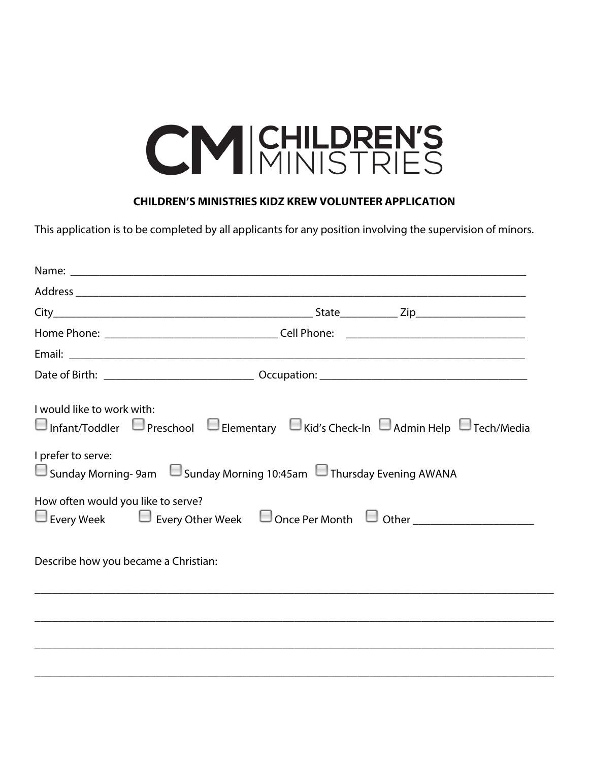## CM CHILDREN'S

## **CHILDREN'S MINISTRIES KIDZ KREW VOLUNTEER APPLICATION**

This application is to be completed by all applicants for any position involving the supervision of minors.

| I would like to work with:<br>$\Box$ Infant/Toddler $\Box$ Preschool $\Box$ Elementary $\Box$ Kid's Check-In $\Box$ Admin Help $\Box$ Tech/Media<br>I prefer to serve: |  |
|------------------------------------------------------------------------------------------------------------------------------------------------------------------------|--|
| $\Box$ Sunday Morning-9am $\Box$ Sunday Morning 10:45am $\Box$ Thursday Evening AWANA                                                                                  |  |
| How often would you like to serve?<br>Every Week Every Other Week Donce Per Month U Other ____________________________                                                 |  |
| Describe how you became a Christian:                                                                                                                                   |  |
|                                                                                                                                                                        |  |
|                                                                                                                                                                        |  |
|                                                                                                                                                                        |  |
|                                                                                                                                                                        |  |